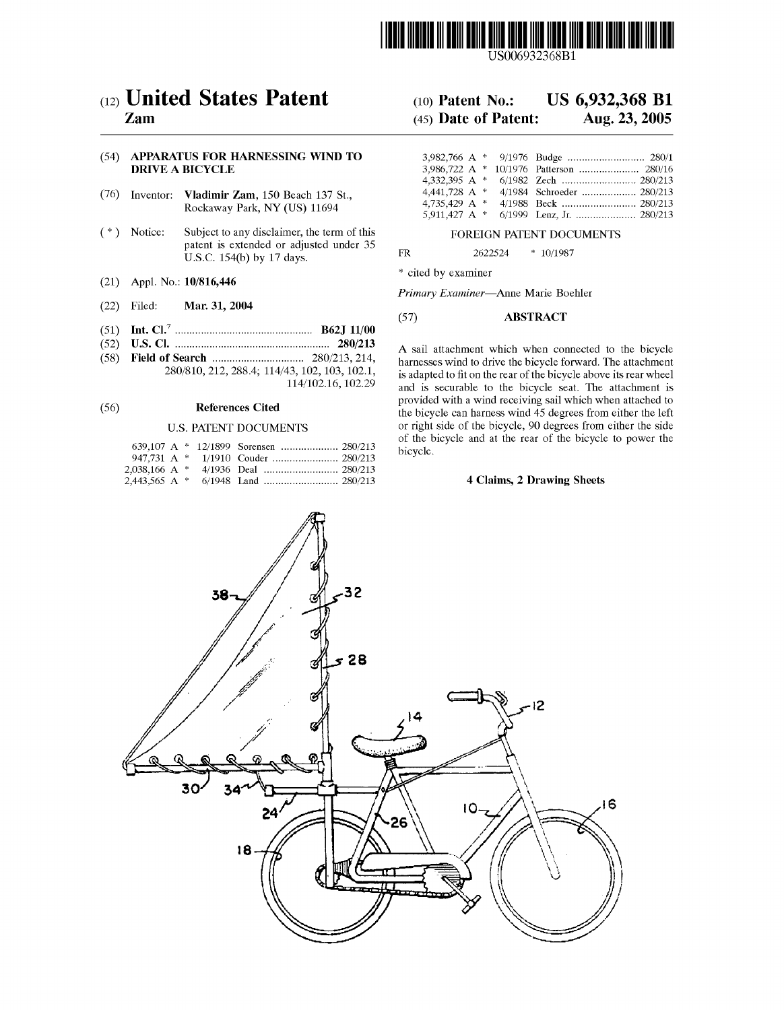

US006932368B1

# (54) APPARATUS FOR HARNESSING WIND TO DRIVE A BICYCLE

- (76) Inventor: Vladimir Zam, 150 Beach 137 St., Rockaway Park, NY (US) 11694
- (\*) Notice: Subject to any disclaimer, the term of this FOREIGN PATENT DOCUMENTS patent is extended or adjusted under  $35$ <br>FR  $2622524 \div 10/1987$ U.S.C. 154(b) by 17 days.
- (21) Appl. N0.: 10/816,446
- (22) Filed: Mar. 31, 2004
- (51) Int. Cl.7 .............................................. .. B62J 11/00
- 
- 

|  |  |  | bicycle. |
|--|--|--|----------|
|  |  |  |          |
|  |  |  |          |
|  |  |  |          |

# (12) **United States Patent** (10) Patent No.: US 6,932,368 B1 <br>Zam (45) Date of Patent: Aug. 23, 2005

# $(45)$  Date of Patent:

| 4,441,728 A $*$ |  | 4/1984 Schroeder  280/213 |
|-----------------|--|---------------------------|
| 4,735,429 A $*$ |  |                           |
| 5,911,427 A $*$ |  |                           |

\* cited by examiner

Primary Examiner—Anne Marie Boehler

# (57) ABSTRACT

(52) U..S. Cl. .................................................... .. 280/213 A Sail attachment which When Connected to the bicycle (58) Fleld 0f Search .............................. .. 280/213, 214, harnesses Wind to drive the bicycle forward' The attachment  $243, 102, 103, 102.1,$  is adapted to fit on the rear of the bicycle above its rear wheel  $114/102.16, 102.29$  and is securable to the bicycle seat. The attachment is and is securable to the bicycle seat. The attachment is provided With a Wind receiving sail Which When attached to (56) References Cited the bicycle can harness wind 45 degrees from either the left U.S. PATENT DOCUMENTS or right side of the bicycle, 90 degrees from either the side of the bicycle and at the rear of the bicycle to poWer the

# 4 Claims, 2 Drawing Sheets

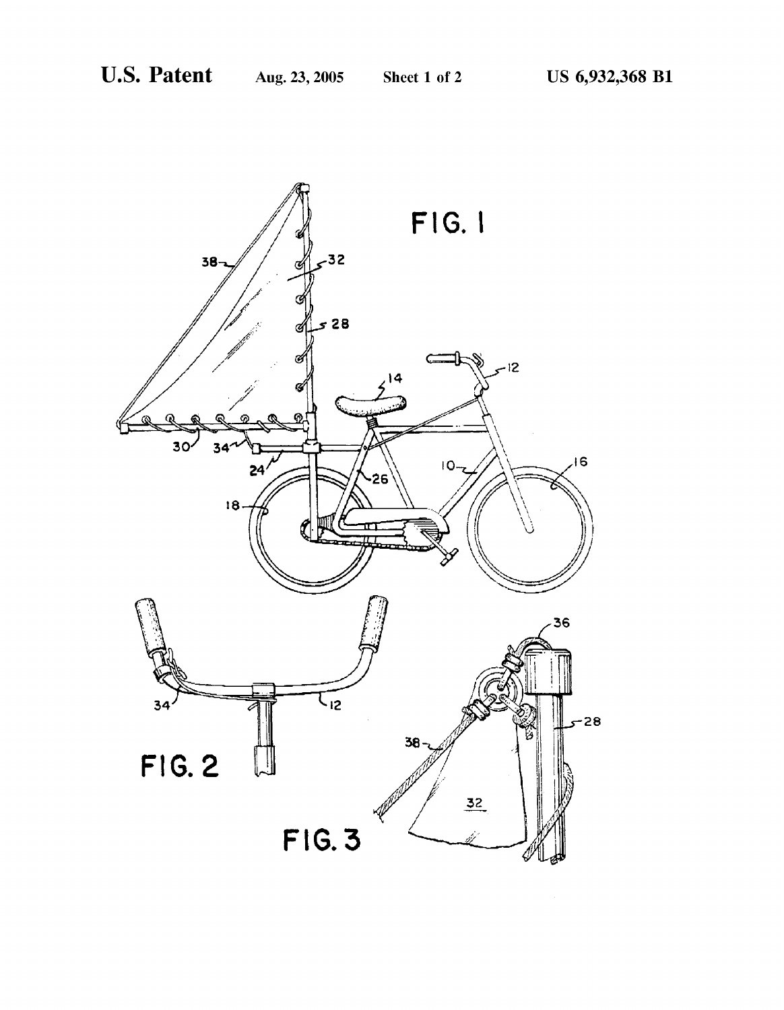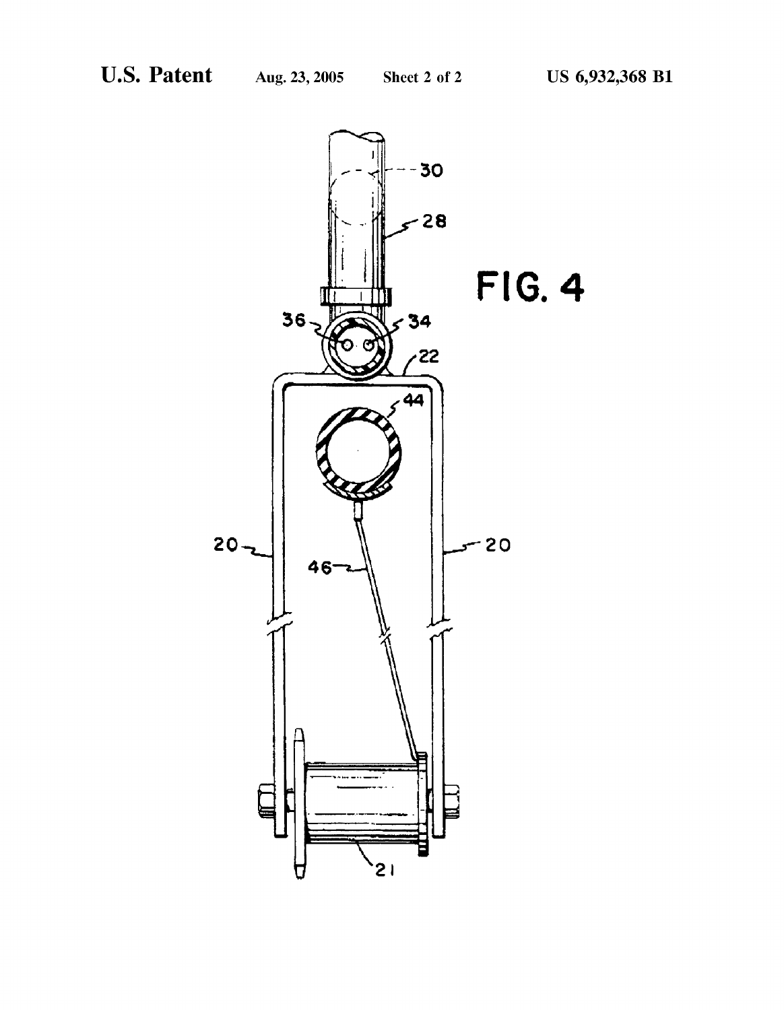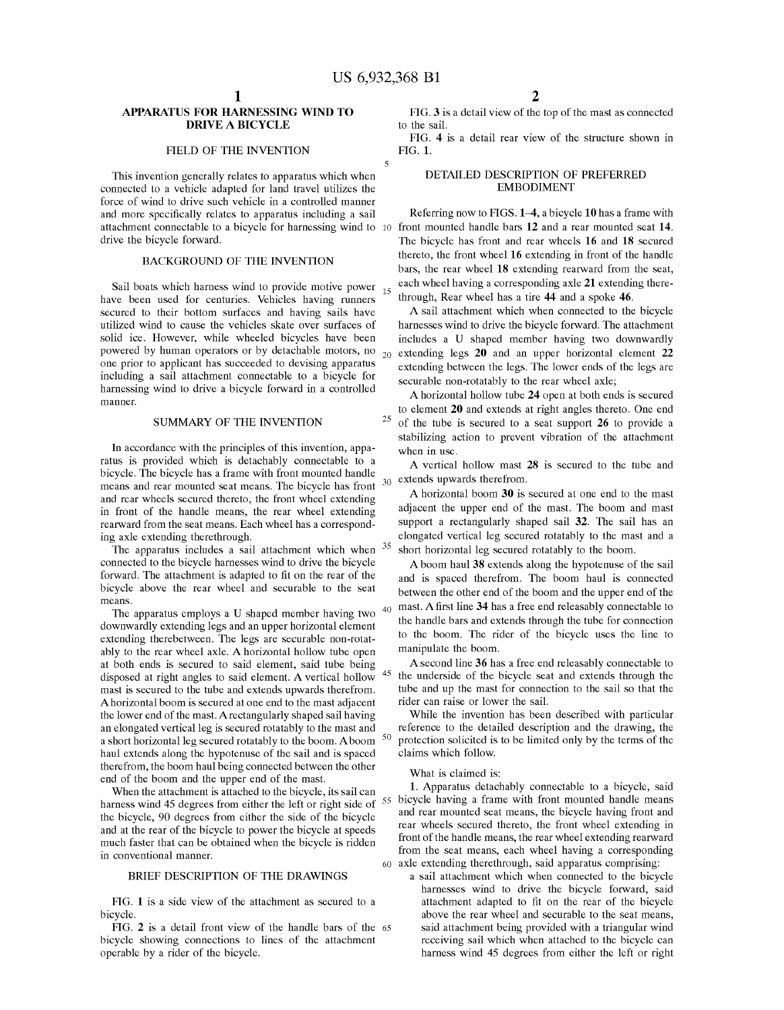$\tilde{z}$ 

25

45

# APPARATUS FOR HARNESSING WIND TO DRIVE A BICYCLE

## FIELD OF THE INVENTION

This invention generally relates to apparatus Which When connected to a vehicle adapted for land travel utilizes the force of Wind to drive such vehicle in a controlled manner and more specifically relates to apparatus including a sail attachment connectable to a bicycle for harnessing Wind to front mounted handle bars 12 and a rear mounted seat 14. drive the bicycle forward.

# BACKGROUND OF THE INVENTION

Sail boats which harness wind to provide motive power  $_{15}$ have been used for centuries. Vehicles having runners secured to their bottom surfaces and having sails have utilized wind to cause the vehicles skate over surfaces of solid ice. HoWever, While Wheeled bicycles have been powered by human operators or by detachable motors, no  $_{20}$  extending legs 20 and an upper horizontal element 22 one prior to applicant has succeeded to devising apparatus including a sail attachment connectable to a bicycle for harnessing wind to drive a bicycle forward in a controlled manner.

# SUMMARY OF THE INVENTION

In accordance With the principles of this invention, appa ratus is provided Which is detachably connectable to a bicycle. The bicycle has a frame With front mounted handle means and rear mounted seat means. The bicycle has front and rear Wheels secured thereto, the front Wheel extending in front of the handle means, the rear Wheel extending rearward from the seat means. Each wheel has a corresponding axle extending therethrough.

The apparatus includes a sail attachment which when  $35$ connected to the bicycle harnesses Wind to drive the bicycle forward. The attachment is adapted to fit on the rear of the bicycle above the rear Wheel and securable to the seat means.

The apparatus employs a U shaped member having two  $40$ downwardly extending legs and an upper horizontal element extending therebetween. The legs are securable non-rotatably to the rear wheel axle. A horizontal hollow tube open at both ends is secured to said element, said tube being disposed at right angles to said element. A vertical holloW mast is secured to the tube and extends upwards therefrom. A horizontal boom is secured at one end to the mast adjacent the lower end of the mast. A rectangularly shaped sail having an elongated vertical leg is secured rotatably to the mast and a short horizontal leg secured rotatably to the boom. A boom  $50$ haul extends along the hypotenuse of the sail and is spaced therefrom, the boom haul being connected between the other end of the boom and the upper end of the mast.

When the attachment is attached to the bicycle, its sail can harness wind 45 degrees from either the left or right side of the bicycle, 90 degrees from either the side of the bicycle and at the rear of the bicycle to power the bicycle at speeds much faster that can be obtained When the bicycle is ridden in conventional manner.

## BRIEF DESCRIPTION OF THE DRAWINGS

FIG. 1 is a side vieW of the attachment as secured to a bicycle.

FIG. 2 is a detail front vieW of the handle bars of the 65 bicycle showing connections to lines of the attachment operable by a rider of the bicycle.

FIG. 3 is a detail vieW of the top of the mast as connected to the sail.

FIG. 4 is a detail rear vieW of the structure shoWn in FIG. 1.

# DETAILED DESCRIPTION OF PREFERRED EMBODIMENT

Referring now to FIGS. 1–4, a bicycle 10 has a frame with The bicycle has front and rear Wheels 16 and 18 secured thereto, the front Wheel 16 extending in front of the handle bars, the rear wheel 18 extending rearward from the seat, each Wheel having a corresponding axle 21 extending there through, Rear Wheel has a tire 44 and a spoke 46.

A sail attachment Which When connected to the bicycle harnesses wind to drive the bicycle forward. The attachment includes a U shaped member having two downwardly extending between the legs. The lower ends of the legs are securable non-rotatably to the rear Wheel axle;

A horizontal hollow tube 24 open at both ends is secured to element 20 and extends at right angles thereto. One end of the tube is secured to a seat support 26 to provide a stabilizing action to prevent vibration of the attachment When in use.

A vertical holloW mast 28 is secured to the tube and 30 extends upwards therefrom.

A horizontal boom 30 is secured at one end to the mast adjacent the upper end of the mast. The boom and mast support a rectangularly shaped sail 32. The sail has an elongated vertical leg secured rotatably to the mast and a short horizontal leg secured rotatably to the boom.

Aboom haul 38 extends along the hypotenuse of the sail and is spaced therefrom. The boom haul is connected betWeen the other end of the boom and the upper end of the mast. A first line 34 has a free end releasably connectable to the handle bars and extends through the tube for connection to the boom. The rider of the bicycle uses the line to manipulate the boom.

A second line 36 has a free end releasably connectable to the underside of the bicycle seat and extends through the tube and up the mast for connection to the sail so that the rider can raise or loWer the sail.

While the invention has been described With particular reference to the detailed description and the draWing, the protection solicited is to be limited only by the terms of the claims Which folloW.

What is claimed is:

55 bicycle having a frame With front mounted handle means 1. Apparatus detachably connectable to a bicycle, said and rear mounted seat means, the bicycle having front and rear Wheels secured thereto, the front Wheel extending in front of the handle means, the rear wheel extending rearward from the seat means, each Wheel having a corresponding axle extending therethrough, said apparatus comprising: a sail attachment Which When connected to the bicycle

harnesses wind to drive the bicycle forward, said attachment adapted to fit on the rear of the bicycle above the rear Wheel and securable to the seat means, said attachment being provided With a triangular Wind receiving sail Which When attached to the bicycle can harness Wind 45 degrees from either the left or right